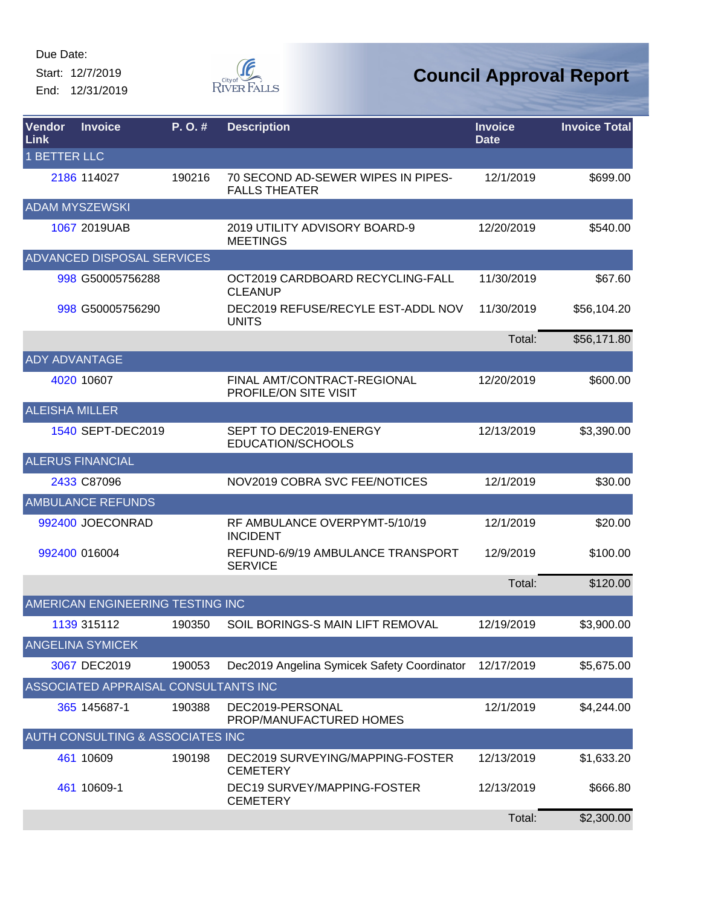Start: 12/7/2019 End: 12/31/2019



| Vendor<br><b>Link</b> | <b>Invoice</b>                       | P.O.#  | <b>Description</b>                                         | <b>Invoice</b><br><b>Date</b> | <b>Invoice Total</b> |
|-----------------------|--------------------------------------|--------|------------------------------------------------------------|-------------------------------|----------------------|
| <b>1 BETTER LLC</b>   |                                      |        |                                                            |                               |                      |
|                       | 2186 114027                          | 190216 | 70 SECOND AD-SEWER WIPES IN PIPES-<br><b>FALLS THEATER</b> | 12/1/2019                     | \$699.00             |
|                       | <b>ADAM MYSZEWSKI</b>                |        |                                                            |                               |                      |
|                       | 1067 2019UAB                         |        | 2019 UTILITY ADVISORY BOARD-9<br><b>MEETINGS</b>           | 12/20/2019                    | \$540.00             |
|                       | <b>ADVANCED DISPOSAL SERVICES</b>    |        |                                                            |                               |                      |
|                       | 998 G50005756288                     |        | OCT2019 CARDBOARD RECYCLING-FALL<br><b>CLEANUP</b>         | 11/30/2019                    | \$67.60              |
|                       | 998 G50005756290                     |        | DEC2019 REFUSE/RECYLE EST-ADDL NOV<br><b>UNITS</b>         | 11/30/2019                    | \$56,104.20          |
|                       |                                      |        |                                                            | Total:                        | \$56,171.80          |
| <b>ADY ADVANTAGE</b>  |                                      |        |                                                            |                               |                      |
|                       | 4020 10607                           |        | FINAL AMT/CONTRACT-REGIONAL<br>PROFILE/ON SITE VISIT       | 12/20/2019                    | \$600.00             |
| <b>ALEISHA MILLER</b> |                                      |        |                                                            |                               |                      |
|                       | 1540 SEPT-DEC2019                    |        | SEPT TO DEC2019-ENERGY<br>EDUCATION/SCHOOLS                | 12/13/2019                    | \$3,390.00           |
|                       | <b>ALERUS FINANCIAL</b>              |        |                                                            |                               |                      |
|                       | 2433 C87096                          |        | NOV2019 COBRA SVC FEE/NOTICES                              | 12/1/2019                     | \$30.00              |
|                       | <b>AMBULANCE REFUNDS</b>             |        |                                                            |                               |                      |
|                       | 992400 JOECONRAD                     |        | RF AMBULANCE OVERPYMT-5/10/19<br><b>INCIDENT</b>           | 12/1/2019                     | \$20.00              |
|                       | 992400 016004                        |        | REFUND-6/9/19 AMBULANCE TRANSPORT<br><b>SERVICE</b>        | 12/9/2019                     | \$100.00             |
|                       |                                      |        |                                                            | Total:                        | \$120.00             |
|                       | AMERICAN ENGINEERING TESTING INC     |        |                                                            |                               |                      |
|                       | <u> 1139 315112</u>                  | 190350 | SOIL BORINGS-S MAIN LIFT REMOVAL                           | 12/19/2019                    | \$3,900.00           |
|                       | <b>ANGELINA SYMICEK</b>              |        |                                                            |                               |                      |
|                       | 3067 DEC2019                         | 190053 | Dec2019 Angelina Symicek Safety Coordinator                | 12/17/2019                    | \$5,675.00           |
|                       | ASSOCIATED APPRAISAL CONSULTANTS INC |        |                                                            |                               |                      |
|                       | 365 145687-1                         | 190388 | DEC2019-PERSONAL<br>PROP/MANUFACTURED HOMES                | 12/1/2019                     | \$4,244.00           |
|                       | AUTH CONSULTING & ASSOCIATES INC     |        |                                                            |                               |                      |
|                       | 461 10609                            | 190198 | DEC2019 SURVEYING/MAPPING-FOSTER<br><b>CEMETERY</b>        | 12/13/2019                    | \$1,633.20           |
|                       | 461 10609-1                          |        | DEC19 SURVEY/MAPPING-FOSTER<br><b>CEMETERY</b>             | 12/13/2019                    | \$666.80             |
|                       |                                      |        |                                                            | Total:                        | \$2,300.00           |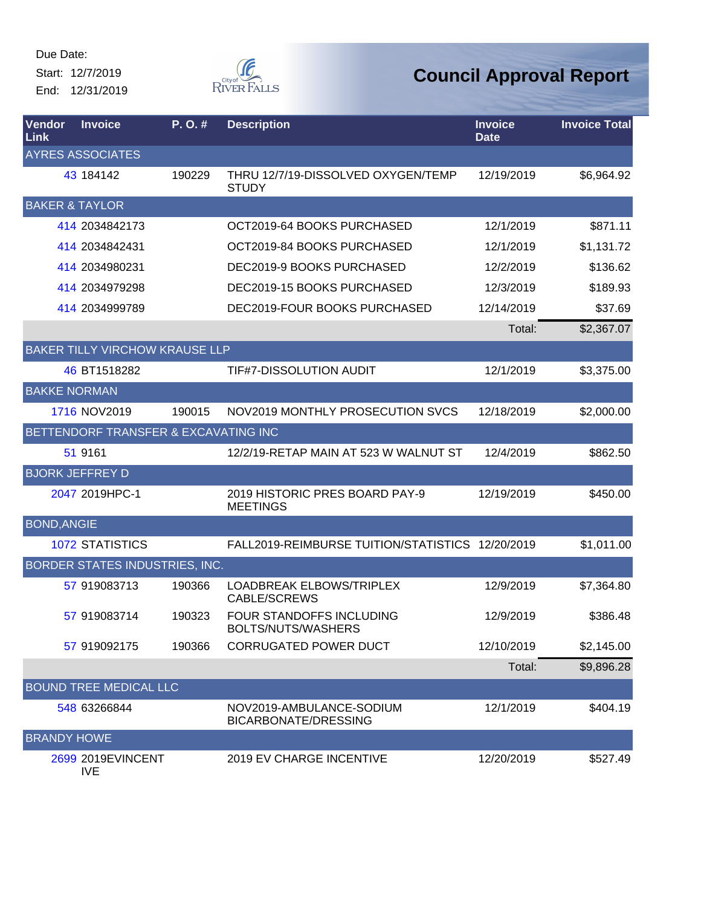Start: 12/7/2019 End: 12/31/2019



| Vendor<br>Link            | <b>Invoice</b>                        | P.O.#  | <b>Description</b>                                      | <b>Invoice</b><br><b>Date</b> | <b>Invoice Total</b> |
|---------------------------|---------------------------------------|--------|---------------------------------------------------------|-------------------------------|----------------------|
|                           | <b>AYRES ASSOCIATES</b>               |        |                                                         |                               |                      |
|                           | 43 184142                             | 190229 | THRU 12/7/19-DISSOLVED OXYGEN/TEMP<br><b>STUDY</b>      | 12/19/2019                    | \$6,964.92           |
| <b>BAKER &amp; TAYLOR</b> |                                       |        |                                                         |                               |                      |
|                           | 414 2034842173                        |        | OCT2019-64 BOOKS PURCHASED                              | 12/1/2019                     | \$871.11             |
|                           | 414 2034842431                        |        | OCT2019-84 BOOKS PURCHASED                              | 12/1/2019                     | \$1,131.72           |
|                           | 414 2034980231                        |        | DEC2019-9 BOOKS PURCHASED                               | 12/2/2019                     | \$136.62             |
|                           | 414 2034979298                        |        | DEC2019-15 BOOKS PURCHASED                              | 12/3/2019                     | \$189.93             |
|                           | 414 2034999789                        |        | DEC2019-FOUR BOOKS PURCHASED                            | 12/14/2019                    | \$37.69              |
|                           |                                       |        |                                                         | Total:                        | \$2,367.07           |
|                           | <b>BAKER TILLY VIRCHOW KRAUSE LLP</b> |        |                                                         |                               |                      |
|                           | 46 BT1518282                          |        | TIF#7-DISSOLUTION AUDIT                                 | 12/1/2019                     | \$3,375.00           |
| <b>BAKKE NORMAN</b>       |                                       |        |                                                         |                               |                      |
|                           | 1716 NOV2019                          | 190015 | NOV2019 MONTHLY PROSECUTION SVCS                        | 12/18/2019                    | \$2,000.00           |
|                           | BETTENDORF TRANSFER & EXCAVATING INC  |        |                                                         |                               |                      |
|                           | 51 9161                               |        | 12/2/19-RETAP MAIN AT 523 W WALNUT ST                   | 12/4/2019                     | \$862.50             |
|                           | <b>BJORK JEFFREY D</b>                |        |                                                         |                               |                      |
|                           | 2047 2019HPC-1                        |        | 2019 HISTORIC PRES BOARD PAY-9<br><b>MEETINGS</b>       | 12/19/2019                    | \$450.00             |
| <b>BOND, ANGIE</b>        |                                       |        |                                                         |                               |                      |
|                           | <b>1072 STATISTICS</b>                |        | FALL2019-REIMBURSE TUITION/STATISTICS 12/20/2019        |                               | \$1,011.00           |
|                           | BORDER STATES INDUSTRIES, INC.        |        |                                                         |                               |                      |
|                           | 57 919083713                          | 190366 | LOADBREAK ELBOWS/TRIPLEX<br>CABLE/SCREWS                | 12/9/2019                     | \$7,364.80           |
|                           | 57 919083714                          | 190323 | FOUR STANDOFFS INCLUDING<br>BOLTS/NUTS/WASHERS          | 12/9/2019                     | \$386.48             |
|                           | 57 919092175                          | 190366 | <b>CORRUGATED POWER DUCT</b>                            | 12/10/2019                    | \$2,145.00           |
|                           |                                       |        |                                                         | Total:                        | \$9,896.28           |
|                           | <b>BOUND TREE MEDICAL LLC</b>         |        |                                                         |                               |                      |
|                           | 548 63266844                          |        | NOV2019-AMBULANCE-SODIUM<br><b>BICARBONATE/DRESSING</b> | 12/1/2019                     | \$404.19             |
| <b>BRANDY HOWE</b>        |                                       |        |                                                         |                               |                      |
|                           | 2699 2019EVINCENT<br><b>IVE</b>       |        | 2019 EV CHARGE INCENTIVE                                | 12/20/2019                    | \$527.49             |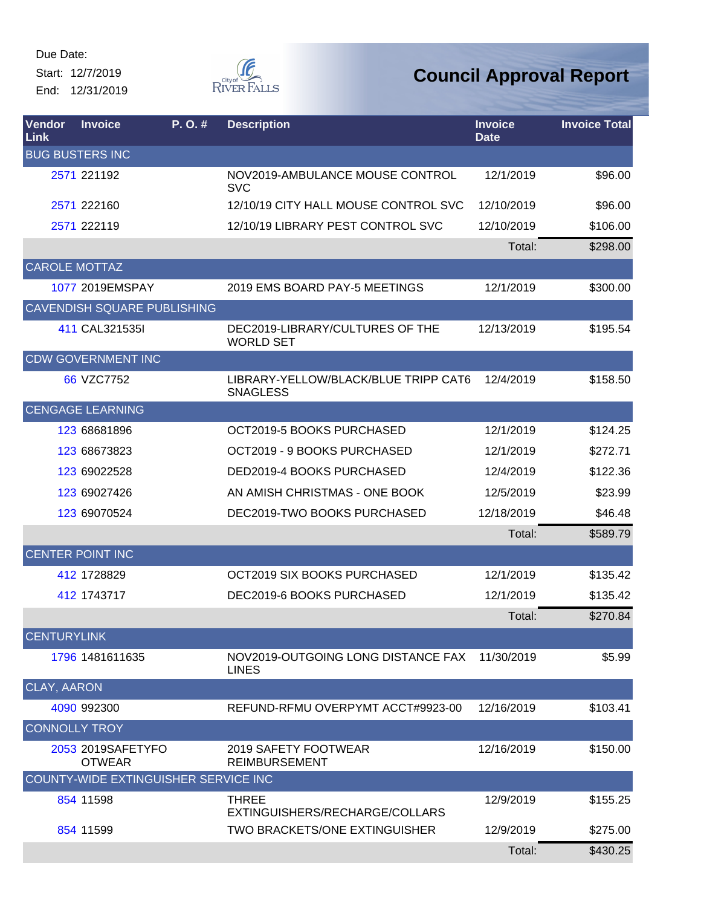Due Date: Start: 12/7/2019

End: 12/31/2019



| Vendor<br><b>Link</b> | <b>Invoice</b>                              | P.O.# | <b>Description</b>                                      | <b>Invoice</b><br><b>Date</b> | <b>Invoice Total</b> |
|-----------------------|---------------------------------------------|-------|---------------------------------------------------------|-------------------------------|----------------------|
|                       | <b>BUG BUSTERS INC</b>                      |       |                                                         |                               |                      |
|                       | 2571 221192                                 |       | NOV2019-AMBULANCE MOUSE CONTROL<br><b>SVC</b>           | 12/1/2019                     | \$96.00              |
|                       | 2571 222160                                 |       | 12/10/19 CITY HALL MOUSE CONTROL SVC                    | 12/10/2019                    | \$96.00              |
|                       | 2571 222119                                 |       | 12/10/19 LIBRARY PEST CONTROL SVC                       | 12/10/2019                    | \$106.00             |
|                       |                                             |       |                                                         | Total:                        | \$298.00             |
| <b>CAROLE MOTTAZ</b>  |                                             |       |                                                         |                               |                      |
|                       | 1077 2019EMSPAY                             |       | 2019 EMS BOARD PAY-5 MEETINGS                           | 12/1/2019                     | \$300.00             |
|                       | <b>CAVENDISH SQUARE PUBLISHING</b>          |       |                                                         |                               |                      |
|                       | 411 CAL321535I                              |       | DEC2019-LIBRARY/CULTURES OF THE<br><b>WORLD SET</b>     | 12/13/2019                    | \$195.54             |
|                       | <b>CDW GOVERNMENT INC</b>                   |       |                                                         |                               |                      |
|                       | 66 VZC7752                                  |       | LIBRARY-YELLOW/BLACK/BLUE TRIPP CAT6<br><b>SNAGLESS</b> | 12/4/2019                     | \$158.50             |
|                       | <b>CENGAGE LEARNING</b>                     |       |                                                         |                               |                      |
|                       | 123 68681896                                |       | OCT2019-5 BOOKS PURCHASED                               | 12/1/2019                     | \$124.25             |
|                       | 123 68673823                                |       | OCT2019 - 9 BOOKS PURCHASED                             | 12/1/2019                     | \$272.71             |
|                       | 123 69022528                                |       | DED2019-4 BOOKS PURCHASED                               | 12/4/2019                     | \$122.36             |
|                       | 123 69027426                                |       | AN AMISH CHRISTMAS - ONE BOOK                           | 12/5/2019                     | \$23.99              |
|                       | 123 69070524                                |       | DEC2019-TWO BOOKS PURCHASED                             | 12/18/2019                    | \$46.48              |
|                       |                                             |       |                                                         | Total:                        | \$589.79             |
|                       | <b>CENTER POINT INC</b>                     |       |                                                         |                               |                      |
|                       | 412 1728829                                 |       | OCT2019 SIX BOOKS PURCHASED                             | 12/1/2019                     | \$135.42             |
|                       | 412 1743717                                 |       | DEC2019-6 BOOKS PURCHASED                               | 12/1/2019                     | \$135.42             |
|                       |                                             |       |                                                         | Total:                        | \$270.84             |
| <b>CENTURYLINK</b>    |                                             |       |                                                         |                               |                      |
|                       | 1796 1481611635                             |       | NOV2019-OUTGOING LONG DISTANCE FAX<br><b>LINES</b>      | 11/30/2019                    | \$5.99               |
| <b>CLAY, AARON</b>    |                                             |       |                                                         |                               |                      |
|                       | 4090 992300                                 |       | REFUND-RFMU OVERPYMT ACCT#9923-00                       | 12/16/2019                    | \$103.41             |
| <b>CONNOLLY TROY</b>  |                                             |       |                                                         |                               |                      |
|                       | 2053 2019SAFETYFO<br><b>OTWEAR</b>          |       | 2019 SAFETY FOOTWEAR<br><b>REIMBURSEMENT</b>            | 12/16/2019                    | \$150.00             |
|                       | <b>COUNTY-WIDE EXTINGUISHER SERVICE INC</b> |       |                                                         |                               |                      |
|                       | 854 11598                                   |       | <b>THREE</b><br>EXTINGUISHERS/RECHARGE/COLLARS          | 12/9/2019                     | \$155.25             |
|                       | 854 11599                                   |       | TWO BRACKETS/ONE EXTINGUISHER                           | 12/9/2019                     | \$275.00             |
|                       |                                             |       |                                                         | Total:                        | \$430.25             |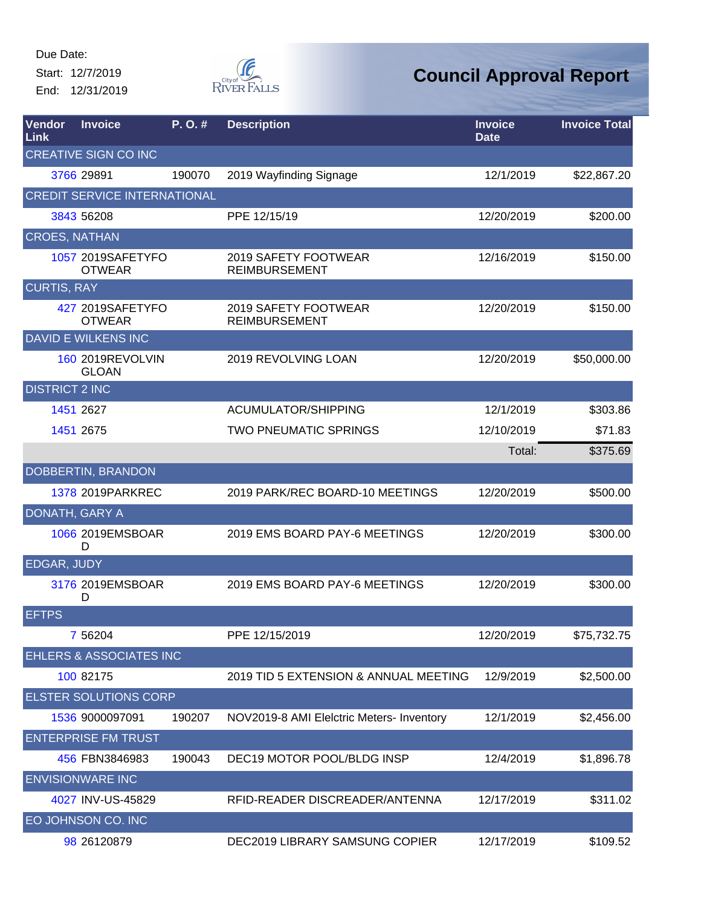Start: 12/7/2019 End: 12/31/2019



| Vendor<br>Link        | <b>Invoice</b>                          | P.O.#  | <b>Description</b>                           | <b>Invoice</b><br><b>Date</b> | <b>Invoice Total</b> |
|-----------------------|-----------------------------------------|--------|----------------------------------------------|-------------------------------|----------------------|
|                       | <b>CREATIVE SIGN CO INC</b>             |        |                                              |                               |                      |
|                       | 3766 29891                              | 190070 | 2019 Wayfinding Signage                      | 12/1/2019                     | \$22,867.20          |
|                       | <b>CREDIT SERVICE INTERNATIONAL</b>     |        |                                              |                               |                      |
|                       | 3843 56208                              |        | PPE 12/15/19                                 | 12/20/2019                    | \$200.00             |
| <b>CROES, NATHAN</b>  |                                         |        |                                              |                               |                      |
|                       | 1057 2019SAFETYFO<br><b>OTWEAR</b>      |        | 2019 SAFETY FOOTWEAR<br><b>REIMBURSEMENT</b> | 12/16/2019                    | \$150.00             |
| <b>CURTIS, RAY</b>    |                                         |        |                                              |                               |                      |
|                       | 427 2019SAFETYFO<br><b>OTWEAR</b>       |        | 2019 SAFETY FOOTWEAR<br><b>REIMBURSEMENT</b> | 12/20/2019                    | \$150.00             |
|                       | <b>DAVID E WILKENS INC</b>              |        |                                              |                               |                      |
|                       | <b>160 2019REVOLVIN</b><br><b>GLOAN</b> |        | 2019 REVOLVING LOAN                          | 12/20/2019                    | \$50,000.00          |
| <b>DISTRICT 2 INC</b> |                                         |        |                                              |                               |                      |
|                       | 1451 2627                               |        | ACUMULATOR/SHIPPING                          | 12/1/2019                     | \$303.86             |
|                       | 1451 2675                               |        | <b>TWO PNEUMATIC SPRINGS</b>                 | 12/10/2019                    | \$71.83              |
|                       |                                         |        |                                              | Total:                        | \$375.69             |
|                       | DOBBERTIN, BRANDON                      |        |                                              |                               |                      |
|                       | 1378 2019 PARKREC                       |        | 2019 PARK/REC BOARD-10 MEETINGS              | 12/20/2019                    | \$500.00             |
|                       | DONATH, GARY A                          |        |                                              |                               |                      |
|                       | 1066 2019EMSBOAR<br>D                   |        | 2019 EMS BOARD PAY-6 MEETINGS                | 12/20/2019                    | \$300.00             |
| <b>EDGAR, JUDY</b>    |                                         |        |                                              |                               |                      |
|                       | 3176 2019EMSBOAR<br>D                   |        | 2019 EMS BOARD PAY-6 MEETINGS                | 12/20/2019                    | \$300.00             |
| <b>EFTPS</b>          |                                         |        |                                              |                               |                      |
|                       | 7 56204                                 |        | PPE 12/15/2019                               | 12/20/2019                    | \$75,732.75          |
|                       | <b>EHLERS &amp; ASSOCIATES INC</b>      |        |                                              |                               |                      |
|                       | 100 82175                               |        | 2019 TID 5 EXTENSION & ANNUAL MEETING        | 12/9/2019                     | \$2,500.00           |
|                       | <b>ELSTER SOLUTIONS CORP</b>            |        |                                              |                               |                      |
|                       | 1536 9000097091                         | 190207 | NOV2019-8 AMI Elelctric Meters- Inventory    | 12/1/2019                     | \$2,456.00           |
|                       | <b>ENTERPRISE FM TRUST</b>              |        |                                              |                               |                      |
|                       | 456 FBN3846983                          | 190043 | DEC19 MOTOR POOL/BLDG INSP                   | 12/4/2019                     | \$1,896.78           |
|                       | <b>ENVISIONWARE INC</b>                 |        |                                              |                               |                      |
|                       | 4027 INV-US-45829                       |        | RFID-READER DISCREADER/ANTENNA               | 12/17/2019                    | \$311.02             |
|                       | EO JOHNSON CO. INC                      |        |                                              |                               |                      |
|                       | 98 26120879                             |        | DEC2019 LIBRARY SAMSUNG COPIER               | 12/17/2019                    | \$109.52             |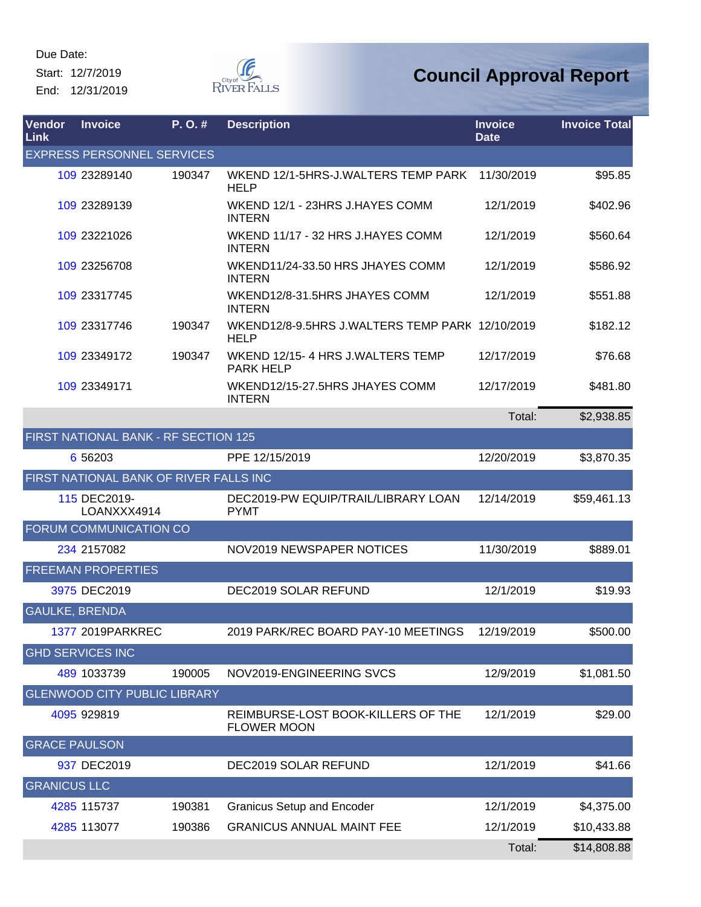Start: 12/7/2019 End: 12/31/2019



| Vendor<br>Link        | <b>Invoice</b>                         | P. O. # | <b>Description</b>                                             | <b>Invoice</b><br><b>Date</b> | <b>Invoice Total</b> |
|-----------------------|----------------------------------------|---------|----------------------------------------------------------------|-------------------------------|----------------------|
|                       | <b>EXPRESS PERSONNEL SERVICES</b>      |         |                                                                |                               |                      |
|                       | 109 23289140                           | 190347  | WKEND 12/1-5HRS-J.WALTERS TEMP PARK<br><b>HELP</b>             | 11/30/2019                    | \$95.85              |
|                       | 109 23289139                           |         | WKEND 12/1 - 23HRS J.HAYES COMM<br><b>INTERN</b>               | 12/1/2019                     | \$402.96             |
|                       | 109 23221026                           |         | WKEND 11/17 - 32 HRS J.HAYES COMM<br><b>INTERN</b>             | 12/1/2019                     | \$560.64             |
|                       | 109 23256708                           |         | WKEND11/24-33.50 HRS JHAYES COMM<br><b>INTERN</b>              | 12/1/2019                     | \$586.92             |
|                       | 109 23317745                           |         | WKEND12/8-31.5HRS JHAYES COMM<br><b>INTERN</b>                 | 12/1/2019                     | \$551.88             |
|                       | 109 23317746                           | 190347  | WKEND12/8-9.5HRS J.WALTERS TEMP PARK 12/10/2019<br><b>HELP</b> |                               | \$182.12             |
|                       | 109 23349172                           | 190347  | WKEND 12/15-4 HRS J.WALTERS TEMP<br><b>PARK HELP</b>           | 12/17/2019                    | \$76.68              |
|                       | 109 23349171                           |         | WKEND12/15-27.5HRS JHAYES COMM<br><b>INTERN</b>                | 12/17/2019                    | \$481.80             |
|                       |                                        |         |                                                                | Total:                        | \$2,938.85           |
|                       | FIRST NATIONAL BANK - RF SECTION 125   |         |                                                                |                               |                      |
|                       | 6 5 6 2 0 3                            |         | PPE 12/15/2019                                                 | 12/20/2019                    | \$3,870.35           |
|                       | FIRST NATIONAL BANK OF RIVER FALLS INC |         |                                                                |                               |                      |
|                       | 115 DEC2019-<br>LOANXXX4914            |         | DEC2019-PW EQUIP/TRAIL/LIBRARY LOAN<br><b>PYMT</b>             | 12/14/2019                    | \$59,461.13          |
|                       | FORUM COMMUNICATION CO                 |         |                                                                |                               |                      |
|                       | 234 2157082                            |         | NOV2019 NEWSPAPER NOTICES                                      | 11/30/2019                    | \$889.01             |
|                       | <b>FREEMAN PROPERTIES</b>              |         |                                                                |                               |                      |
|                       | 3975 DEC2019                           |         | DEC2019 SOLAR REFUND                                           | 12/1/2019                     | \$19.93              |
| <b>GAULKE, BRENDA</b> |                                        |         |                                                                |                               |                      |
|                       | 1377 2019 PARKREC                      |         | 2019 PARK/REC BOARD PAY-10 MEETINGS                            | 12/19/2019                    | \$500.00             |
|                       | <b>GHD SERVICES INC</b>                |         |                                                                |                               |                      |
|                       | 489 1033739                            | 190005  | NOV2019-ENGINEERING SVCS                                       | 12/9/2019                     | \$1,081.50           |
|                       | <b>GLENWOOD CITY PUBLIC LIBRARY</b>    |         |                                                                |                               |                      |
|                       | 4095 929819                            |         | REIMBURSE-LOST BOOK-KILLERS OF THE<br><b>FLOWER MOON</b>       | 12/1/2019                     | \$29.00              |
| <b>GRACE PAULSON</b>  |                                        |         |                                                                |                               |                      |
|                       | 937 DEC2019                            |         | DEC2019 SOLAR REFUND                                           | 12/1/2019                     | \$41.66              |
| <b>GRANICUS LLC</b>   |                                        |         |                                                                |                               |                      |
|                       | 4285 115737                            | 190381  | <b>Granicus Setup and Encoder</b>                              | 12/1/2019                     | \$4,375.00           |
|                       | 4285 113077                            | 190386  | <b>GRANICUS ANNUAL MAINT FEE</b>                               | 12/1/2019                     | \$10,433.88          |
|                       |                                        |         |                                                                | Total:                        | \$14,808.88          |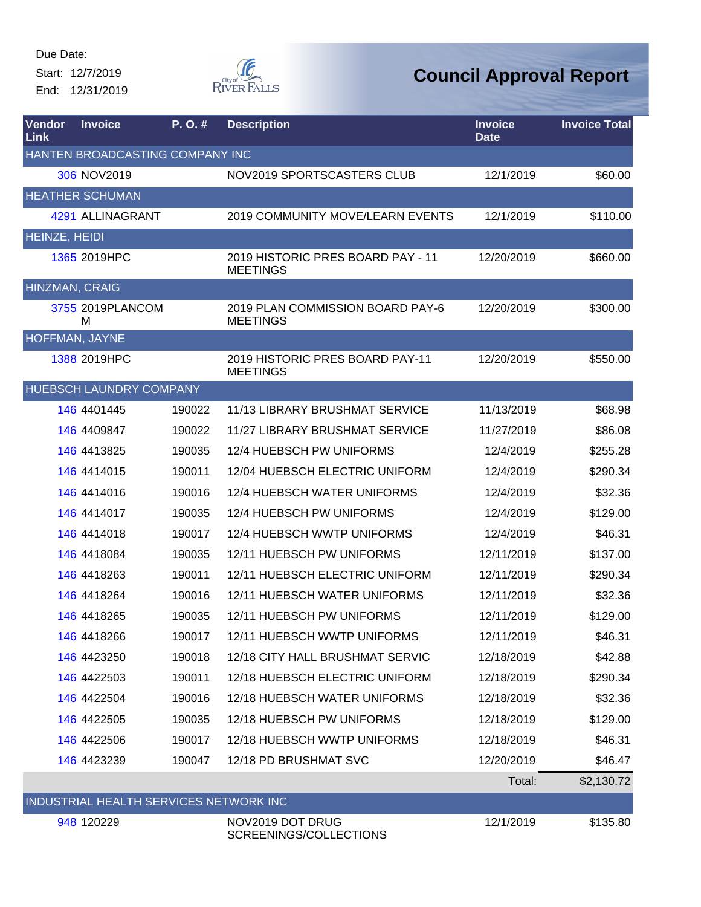Start: 12/7/2019 End: 12/31/2019



| Vendor<br>Link | <b>Invoice</b>                         | P.O.#  | <b>Description</b>                                   | <b>Invoice</b><br><b>Date</b> | <b>Invoice Total</b> |
|----------------|----------------------------------------|--------|------------------------------------------------------|-------------------------------|----------------------|
|                | HANTEN BROADCASTING COMPANY INC        |        |                                                      |                               |                      |
|                | 306 NOV2019                            |        | NOV2019 SPORTSCASTERS CLUB                           | 12/1/2019                     | \$60.00              |
|                | <b>HEATHER SCHUMAN</b>                 |        |                                                      |                               |                      |
|                | 4291 ALLINAGRANT                       |        | 2019 COMMUNITY MOVE/LEARN EVENTS                     | 12/1/2019                     | \$110.00             |
| HEINZE, HEIDI  |                                        |        |                                                      |                               |                      |
|                | 1365 2019HPC                           |        | 2019 HISTORIC PRES BOARD PAY - 11<br><b>MEETINGS</b> | 12/20/2019                    | \$660.00             |
| HINZMAN, CRAIG |                                        |        |                                                      |                               |                      |
|                | 3755 2019PLANCOM<br>М                  |        | 2019 PLAN COMMISSION BOARD PAY-6<br><b>MEETINGS</b>  | 12/20/2019                    | \$300.00             |
| HOFFMAN, JAYNE |                                        |        |                                                      |                               |                      |
|                | 1388 2019HPC                           |        | 2019 HISTORIC PRES BOARD PAY-11<br><b>MEETINGS</b>   | 12/20/2019                    | \$550.00             |
|                | HUEBSCH LAUNDRY COMPANY                |        |                                                      |                               |                      |
|                | 146 4401445                            | 190022 | 11/13 LIBRARY BRUSHMAT SERVICE                       | 11/13/2019                    | \$68.98              |
|                | 146 4409847                            | 190022 | <b>11/27 LIBRARY BRUSHMAT SERVICE</b>                | 11/27/2019                    | \$86.08              |
|                | 146 4413825                            | 190035 | 12/4 HUEBSCH PW UNIFORMS                             | 12/4/2019                     | \$255.28             |
|                | 146 4414015                            | 190011 | 12/04 HUEBSCH ELECTRIC UNIFORM                       | 12/4/2019                     | \$290.34             |
|                | 146 4414016                            | 190016 | 12/4 HUEBSCH WATER UNIFORMS                          | 12/4/2019                     | \$32.36              |
|                | 146 4414017                            | 190035 | 12/4 HUEBSCH PW UNIFORMS                             | 12/4/2019                     | \$129.00             |
|                | 146 4414018                            | 190017 | 12/4 HUEBSCH WWTP UNIFORMS                           | 12/4/2019                     | \$46.31              |
|                | 146 4418084                            | 190035 | 12/11 HUEBSCH PW UNIFORMS                            | 12/11/2019                    | \$137.00             |
|                | 146 4418263                            | 190011 | 12/11 HUEBSCH ELECTRIC UNIFORM                       | 12/11/2019                    | \$290.34             |
|                | 146 4418264                            | 190016 | 12/11 HUEBSCH WATER UNIFORMS                         | 12/11/2019                    | \$32.36              |
|                | 146 4418265                            | 190035 | 12/11 HUEBSCH PW UNIFORMS                            | 12/11/2019                    | \$129.00             |
|                | 146 4418266                            | 190017 | 12/11 HUEBSCH WWTP UNIFORMS                          | 12/11/2019                    | \$46.31              |
|                | 146 4423250                            | 190018 | 12/18 CITY HALL BRUSHMAT SERVIC                      | 12/18/2019                    | \$42.88              |
|                | 146 4422503                            | 190011 | 12/18 HUEBSCH ELECTRIC UNIFORM                       | 12/18/2019                    | \$290.34             |
|                | 146 4422504                            | 190016 | 12/18 HUEBSCH WATER UNIFORMS                         | 12/18/2019                    | \$32.36              |
|                | 146 4422505                            | 190035 | 12/18 HUEBSCH PW UNIFORMS                            | 12/18/2019                    | \$129.00             |
|                | 146 4422506                            | 190017 | 12/18 HUEBSCH WWTP UNIFORMS                          | 12/18/2019                    | \$46.31              |
|                | 146 4423239                            | 190047 | 12/18 PD BRUSHMAT SVC                                | 12/20/2019                    | \$46.47              |
|                |                                        |        |                                                      | Total:                        | \$2,130.72           |
|                | INDUSTRIAL HEALTH SERVICES NETWORK INC |        |                                                      |                               |                      |
|                | 948 120229                             |        | NOV2019 DOT DRUG<br>SCREENINGS/COLLECTIONS           | 12/1/2019                     | \$135.80             |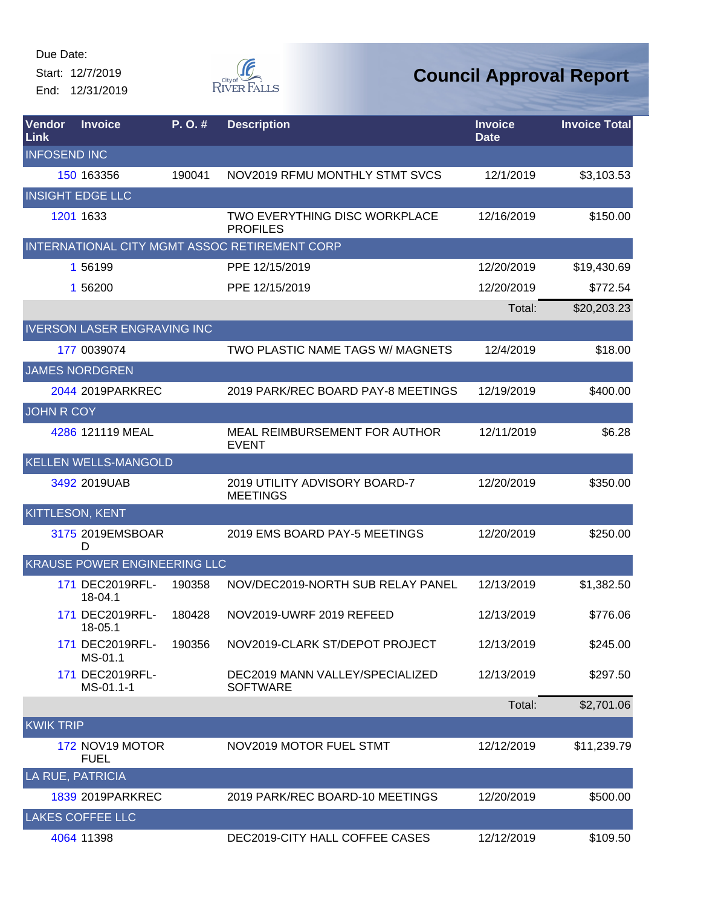Start: 12/7/2019 End: 12/31/2019



| <b>Vendor</b><br>Link | <b>Invoice</b>                      | P. O. # | <b>Description</b>                                      | <b>Invoice</b><br><b>Date</b> | <b>Invoice Total</b> |
|-----------------------|-------------------------------------|---------|---------------------------------------------------------|-------------------------------|----------------------|
| <b>INFOSEND INC</b>   |                                     |         |                                                         |                               |                      |
|                       | 150 163356                          | 190041  | NOV2019 RFMU MONTHLY STMT SVCS                          | 12/1/2019                     | \$3,103.53           |
|                       | <b>INSIGHT EDGE LLC</b>             |         |                                                         |                               |                      |
|                       | 1201 1633                           |         | <b>TWO EVERYTHING DISC WORKPLACE</b><br><b>PROFILES</b> | 12/16/2019                    | \$150.00             |
|                       |                                     |         | INTERNATIONAL CITY MGMT ASSOC RETIREMENT CORP           |                               |                      |
|                       | 1 56199                             |         | PPE 12/15/2019                                          | 12/20/2019                    | \$19,430.69          |
|                       | 1 56200                             |         | PPE 12/15/2019                                          | 12/20/2019                    | \$772.54             |
|                       |                                     |         |                                                         | Total:                        | \$20,203.23          |
|                       | <b>IVERSON LASER ENGRAVING INC</b>  |         |                                                         |                               |                      |
|                       | 177 0039074                         |         | TWO PLASTIC NAME TAGS W/ MAGNETS                        | 12/4/2019                     | \$18.00              |
|                       | <b>JAMES NORDGREN</b>               |         |                                                         |                               |                      |
|                       | 2044 2019 PARKREC                   |         | 2019 PARK/REC BOARD PAY-8 MEETINGS                      | 12/19/2019                    | \$400.00             |
| <b>JOHN R COY</b>     |                                     |         |                                                         |                               |                      |
|                       | 4286 121119 MEAL                    |         | MEAL REIMBURSEMENT FOR AUTHOR<br><b>EVENT</b>           | 12/11/2019                    | \$6.28               |
|                       | <b>KELLEN WELLS-MANGOLD</b>         |         |                                                         |                               |                      |
|                       | 3492 2019UAB                        |         | 2019 UTILITY ADVISORY BOARD-7<br><b>MEETINGS</b>        | 12/20/2019                    | \$350.00             |
|                       | <b>KITTLESON, KENT</b>              |         |                                                         |                               |                      |
|                       | 3175 2019EMSBOAR<br>D               |         | 2019 EMS BOARD PAY-5 MEETINGS                           | 12/20/2019                    | \$250.00             |
|                       | <b>KRAUSE POWER ENGINEERING LLC</b> |         |                                                         |                               |                      |
|                       | 171 DEC2019RFL-<br>18-04.1          | 190358  | NOV/DEC2019-NORTH SUB RELAY PANEL                       | 12/13/2019                    | \$1,382.50           |
|                       | 171 DEC2019RFL-<br>18-05.1          | 180428  | NOV2019-UWRF 2019 REFEED                                | 12/13/2019                    | \$776.06             |
|                       | 171 DEC2019RFL-<br>MS-01.1          | 190356  | NOV2019-CLARK ST/DEPOT PROJECT                          | 12/13/2019                    | \$245.00             |
|                       | 171 DEC2019RFL-<br>MS-01.1-1        |         | DEC2019 MANN VALLEY/SPECIALIZED<br><b>SOFTWARE</b>      | 12/13/2019                    | \$297.50             |
|                       |                                     |         |                                                         | Total:                        | \$2,701.06           |
| <b>KWIK TRIP</b>      |                                     |         |                                                         |                               |                      |
|                       | 172 NOV19 MOTOR<br><b>FUEL</b>      |         | NOV2019 MOTOR FUEL STMT                                 | 12/12/2019                    | \$11,239.79          |
|                       | LA RUE, PATRICIA                    |         |                                                         |                               |                      |
|                       | 1839 2019 PARKREC                   |         | 2019 PARK/REC BOARD-10 MEETINGS                         | 12/20/2019                    | \$500.00             |
|                       | <b>LAKES COFFEE LLC</b>             |         |                                                         |                               |                      |
|                       | 4064 11398                          |         | DEC2019-CITY HALL COFFEE CASES                          | 12/12/2019                    | \$109.50             |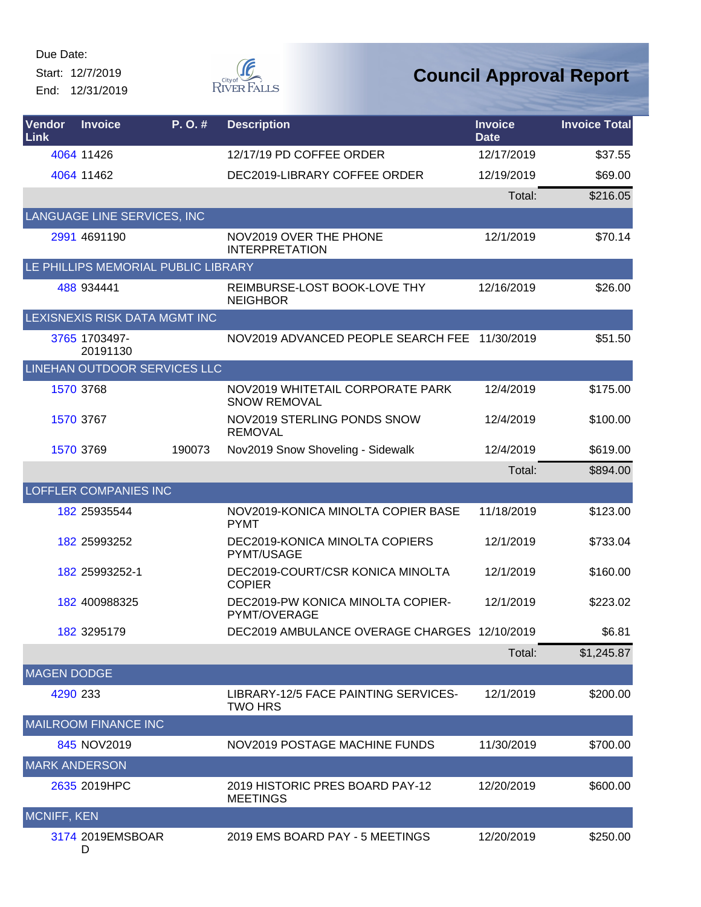Start: 12/7/2019 End: 12/31/2019



| Vendor<br>Link       | <b>Invoice</b>               | P.O.#                               | <b>Description</b>                                      | <b>Invoice</b><br><b>Date</b> | <b>Invoice Total</b> |
|----------------------|------------------------------|-------------------------------------|---------------------------------------------------------|-------------------------------|----------------------|
|                      | 4064 11426                   |                                     | 12/17/19 PD COFFEE ORDER                                | 12/17/2019                    | \$37.55              |
|                      | 4064 11462                   |                                     | DEC2019-LIBRARY COFFEE ORDER                            | 12/19/2019                    | \$69.00              |
|                      |                              |                                     |                                                         | Total:                        | \$216.05             |
|                      | LANGUAGE LINE SERVICES, INC  |                                     |                                                         |                               |                      |
|                      | 2991 4691190                 |                                     | NOV2019 OVER THE PHONE<br><b>INTERPRETATION</b>         | 12/1/2019                     | \$70.14              |
|                      |                              | LE PHILLIPS MEMORIAL PUBLIC LIBRARY |                                                         |                               |                      |
|                      | 488 934441                   |                                     | REIMBURSE-LOST BOOK-LOVE THY<br><b>NEIGHBOR</b>         | 12/16/2019                    | \$26.00              |
|                      |                              | LEXISNEXIS RISK DATA MGMT INC       |                                                         |                               |                      |
|                      | 3765 1703497-<br>20191130    |                                     | NOV2019 ADVANCED PEOPLE SEARCH FEE 11/30/2019           |                               | \$51.50              |
|                      |                              | LINEHAN OUTDOOR SERVICES LLC        |                                                         |                               |                      |
|                      | 1570 3768                    |                                     | NOV2019 WHITETAIL CORPORATE PARK<br><b>SNOW REMOVAL</b> | 12/4/2019                     | \$175.00             |
|                      | 1570 3767                    |                                     | NOV2019 STERLING PONDS SNOW<br><b>REMOVAL</b>           | 12/4/2019                     | \$100.00             |
|                      | 1570 3769                    | 190073                              | Nov2019 Snow Shoveling - Sidewalk                       | 12/4/2019                     | \$619.00             |
|                      |                              |                                     |                                                         | Total:                        | \$894.00             |
|                      | <b>LOFFLER COMPANIES INC</b> |                                     |                                                         |                               |                      |
|                      | 182 25935544                 |                                     | NOV2019-KONICA MINOLTA COPIER BASE<br><b>PYMT</b>       | 11/18/2019                    | \$123.00             |
|                      | 182 25993252                 |                                     | DEC2019-KONICA MINOLTA COPIERS<br>PYMT/USAGE            | 12/1/2019                     | \$733.04             |
|                      | 182 25993252-1               |                                     | DEC2019-COURT/CSR KONICA MINOLTA<br><b>COPIER</b>       | 12/1/2019                     | \$160.00             |
|                      | 182 400988325                |                                     | DEC2019-PW KONICA MINOLTA COPIER-<br>PYMT/OVERAGE       | 12/1/2019                     | \$223.02             |
|                      | 182 3295179                  |                                     | DEC2019 AMBULANCE OVERAGE CHARGES 12/10/2019            |                               | \$6.81               |
|                      |                              |                                     |                                                         | Total:                        | \$1,245.87           |
| <b>MAGEN DODGE</b>   |                              |                                     |                                                         |                               |                      |
| 4290 233             |                              |                                     | LIBRARY-12/5 FACE PAINTING SERVICES-<br><b>TWO HRS</b>  | 12/1/2019                     | \$200.00             |
|                      | <b>MAILROOM FINANCE INC</b>  |                                     |                                                         |                               |                      |
|                      | 845 NOV2019                  |                                     | <b>NOV2019 POSTAGE MACHINE FUNDS</b>                    | 11/30/2019                    | \$700.00             |
| <b>MARK ANDERSON</b> |                              |                                     |                                                         |                               |                      |
|                      | 2635 2019HPC                 |                                     | 2019 HISTORIC PRES BOARD PAY-12<br><b>MEETINGS</b>      | 12/20/2019                    | \$600.00             |
| <b>MCNIFF, KEN</b>   |                              |                                     |                                                         |                               |                      |
|                      | 3174 2019EMSBOAR             |                                     | 2019 EMS BOARD PAY - 5 MEETINGS                         | 12/20/2019                    | \$250.00             |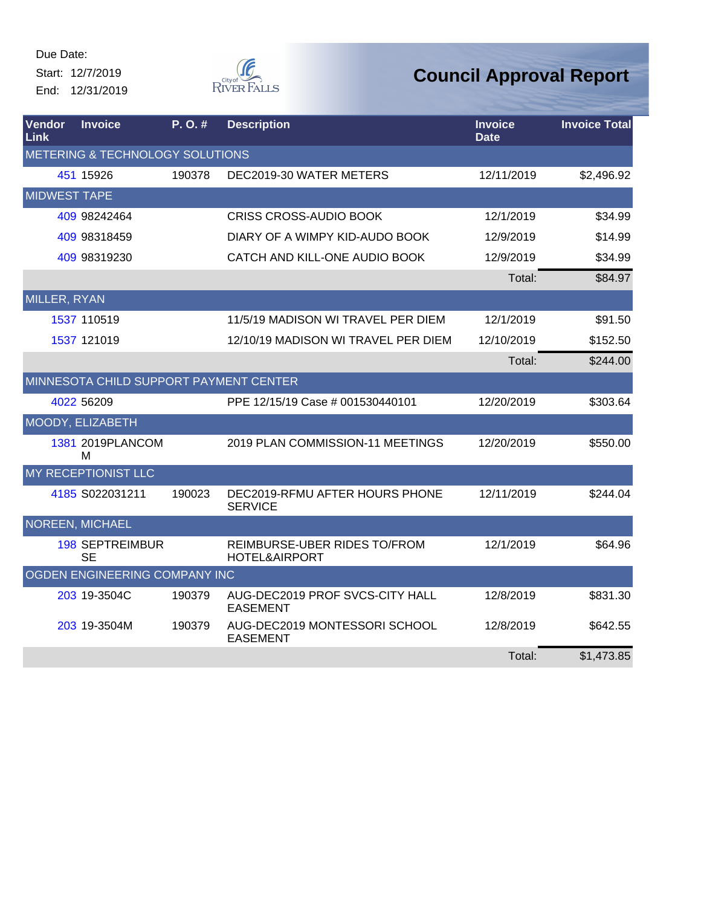Start: 12/7/2019 End: 12/31/2019



| Vendor<br>Link      | <b>Invoice</b>                         | P. O. # | <b>Description</b>                                       | <b>Invoice</b><br><b>Date</b> | <b>Invoice Total</b> |
|---------------------|----------------------------------------|---------|----------------------------------------------------------|-------------------------------|----------------------|
|                     | METERING & TECHNOLOGY SOLUTIONS        |         |                                                          |                               |                      |
|                     | 451 15926                              | 190378  | DEC2019-30 WATER METERS                                  | 12/11/2019                    | \$2,496.92           |
| <b>MIDWEST TAPE</b> |                                        |         |                                                          |                               |                      |
|                     | 409 98242464                           |         | <b>CRISS CROSS-AUDIO BOOK</b>                            | 12/1/2019                     | \$34.99              |
|                     | 409 98318459                           |         | DIARY OF A WIMPY KID-AUDO BOOK                           | 12/9/2019                     | \$14.99              |
|                     | 409 98319230                           |         | CATCH AND KILL-ONE AUDIO BOOK                            | 12/9/2019                     | \$34.99              |
|                     |                                        |         |                                                          | Total:                        | \$84.97              |
| MILLER, RYAN        |                                        |         |                                                          |                               |                      |
|                     | 1537 110519                            |         | 11/5/19 MADISON WI TRAVEL PER DIEM                       | 12/1/2019                     | \$91.50              |
|                     | 1537 121019                            |         | 12/10/19 MADISON WI TRAVEL PER DIEM                      | 12/10/2019                    | \$152.50             |
|                     |                                        |         |                                                          | Total:                        | \$244.00             |
|                     | MINNESOTA CHILD SUPPORT PAYMENT CENTER |         |                                                          |                               |                      |
|                     | 4022 56209                             |         | PPE 12/15/19 Case # 001530440101                         | 12/20/2019                    | \$303.64             |
|                     | MOODY, ELIZABETH                       |         |                                                          |                               |                      |
|                     | 1381 2019PLANCOM<br>M                  |         | 2019 PLAN COMMISSION-11 MEETINGS                         | 12/20/2019                    | \$550.00             |
|                     | MY RECEPTIONIST LLC                    |         |                                                          |                               |                      |
|                     | 4185 S022031211                        | 190023  | DEC2019-RFMU AFTER HOURS PHONE<br><b>SERVICE</b>         | 12/11/2019                    | \$244.04             |
|                     | <b>NOREEN, MICHAEL</b>                 |         |                                                          |                               |                      |
|                     | <b>198 SEPTREIMBUR</b><br><b>SE</b>    |         | REIMBURSE-UBER RIDES TO/FROM<br><b>HOTEL&amp;AIRPORT</b> | 12/1/2019                     | \$64.96              |
|                     | OGDEN ENGINEERING COMPANY INC          |         |                                                          |                               |                      |
|                     | 203 19-3504C                           | 190379  | AUG-DEC2019 PROF SVCS-CITY HALL<br><b>EASEMENT</b>       | 12/8/2019                     | \$831.30             |
|                     | 203 19-3504M                           | 190379  | AUG-DEC2019 MONTESSORI SCHOOL<br><b>EASEMENT</b>         | 12/8/2019                     | \$642.55             |
|                     |                                        |         |                                                          | Total:                        | \$1,473.85           |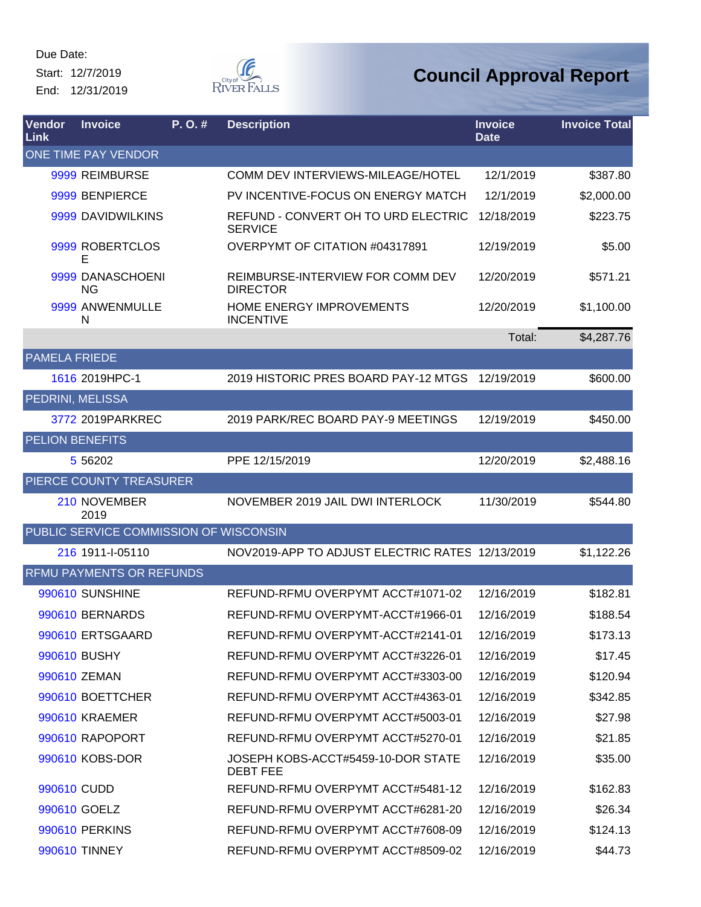Start: 12/7/2019 End: 12/31/2019



| Vendor<br>Link         | <b>Invoice</b>                         | P. O. # | <b>Description</b>                                    | <b>Invoice</b><br><b>Date</b> | <b>Invoice Total</b> |
|------------------------|----------------------------------------|---------|-------------------------------------------------------|-------------------------------|----------------------|
|                        | <b>ONE TIME PAY VENDOR</b>             |         |                                                       |                               |                      |
|                        | 9999 REIMBURSE                         |         | COMM DEV INTERVIEWS-MILEAGE/HOTEL                     | 12/1/2019                     | \$387.80             |
|                        | 9999 BENPIERCE                         |         | PV INCENTIVE-FOCUS ON ENERGY MATCH                    | 12/1/2019                     | \$2,000.00           |
|                        | 9999 DAVIDWILKINS                      |         | REFUND - CONVERT OH TO URD ELECTRIC<br><b>SERVICE</b> | 12/18/2019                    | \$223.75             |
|                        | 9999 ROBERTCLOS<br>Е                   |         | OVERPYMT OF CITATION #04317891                        | 12/19/2019                    | \$5.00               |
|                        | 9999 DANASCHOENI<br><b>NG</b>          |         | REIMBURSE-INTERVIEW FOR COMM DEV<br><b>DIRECTOR</b>   | 12/20/2019                    | \$571.21             |
|                        | 9999 ANWENMULLE<br>N                   |         | HOME ENERGY IMPROVEMENTS<br><b>INCENTIVE</b>          | 12/20/2019                    | \$1,100.00           |
|                        |                                        |         |                                                       | Total:                        | \$4,287.76           |
| <b>PAMELA FRIEDE</b>   |                                        |         |                                                       |                               |                      |
|                        | 1616 2019HPC-1                         |         | 2019 HISTORIC PRES BOARD PAY-12 MTGS                  | 12/19/2019                    | \$600.00             |
| PEDRINI, MELISSA       |                                        |         |                                                       |                               |                      |
|                        | 3772 2019 PARKREC                      |         | 2019 PARK/REC BOARD PAY-9 MEETINGS                    | 12/19/2019                    | \$450.00             |
| <b>PELION BENEFITS</b> |                                        |         |                                                       |                               |                      |
|                        | 5 5 6 2 0 2                            |         | PPE 12/15/2019                                        | 12/20/2019                    | \$2,488.16           |
|                        | PIERCE COUNTY TREASURER                |         |                                                       |                               |                      |
|                        | 210 NOVEMBER<br>2019                   |         | NOVEMBER 2019 JAIL DWI INTERLOCK                      | 11/30/2019                    | \$544.80             |
|                        | PUBLIC SERVICE COMMISSION OF WISCONSIN |         |                                                       |                               |                      |
|                        | 216 1911-I-05110                       |         | NOV2019-APP TO ADJUST ELECTRIC RATES 12/13/2019       |                               | \$1,122.26           |
|                        | <b>REMU PAYMENTS OR REFUNDS</b>        |         |                                                       |                               |                      |
|                        | 990610 SUNSHINE                        |         | REFUND-RFMU OVERPYMT ACCT#1071-02                     | 12/16/2019                    | \$182.81             |
|                        | 990610 BERNARDS                        |         | REFUND-RFMU OVERPYMT-ACCT#1966-01                     | 12/16/2019                    | \$188.54             |
|                        | 990610 ERTSGAARD                       |         | REFUND-RFMU OVERPYMT-ACCT#2141-01                     | 12/16/2019                    | \$173.13             |
|                        | 990610 BUSHY                           |         | REFUND-RFMU OVERPYMT ACCT#3226-01                     | 12/16/2019                    | \$17.45              |
|                        | 990610 ZEMAN                           |         | REFUND-RFMU OVERPYMT ACCT#3303-00                     | 12/16/2019                    | \$120.94             |
|                        | 990610 BOETTCHER                       |         | REFUND-RFMU OVERPYMT ACCT#4363-01                     | 12/16/2019                    | \$342.85             |
|                        | 990610 KRAEMER                         |         | REFUND-RFMU OVERPYMT ACCT#5003-01                     | 12/16/2019                    | \$27.98              |
|                        | 990610 RAPOPORT                        |         | REFUND-RFMU OVERPYMT ACCT#5270-01                     | 12/16/2019                    | \$21.85              |
|                        | 990610 KOBS-DOR                        |         | JOSEPH KOBS-ACCT#5459-10-DOR STATE<br><b>DEBT FEE</b> | 12/16/2019                    | \$35.00              |
| 990610 CUDD            |                                        |         | REFUND-RFMU OVERPYMT ACCT#5481-12                     | 12/16/2019                    | \$162.83             |
|                        | 990610 GOELZ                           |         | REFUND-RFMU OVERPYMT ACCT#6281-20                     | 12/16/2019                    | \$26.34              |
|                        | <b>990610 PERKINS</b>                  |         | REFUND-RFMU OVERPYMT ACCT#7608-09                     | 12/16/2019                    | \$124.13             |
|                        | 990610 TINNEY                          |         | REFUND-RFMU OVERPYMT ACCT#8509-02                     | 12/16/2019                    | \$44.73              |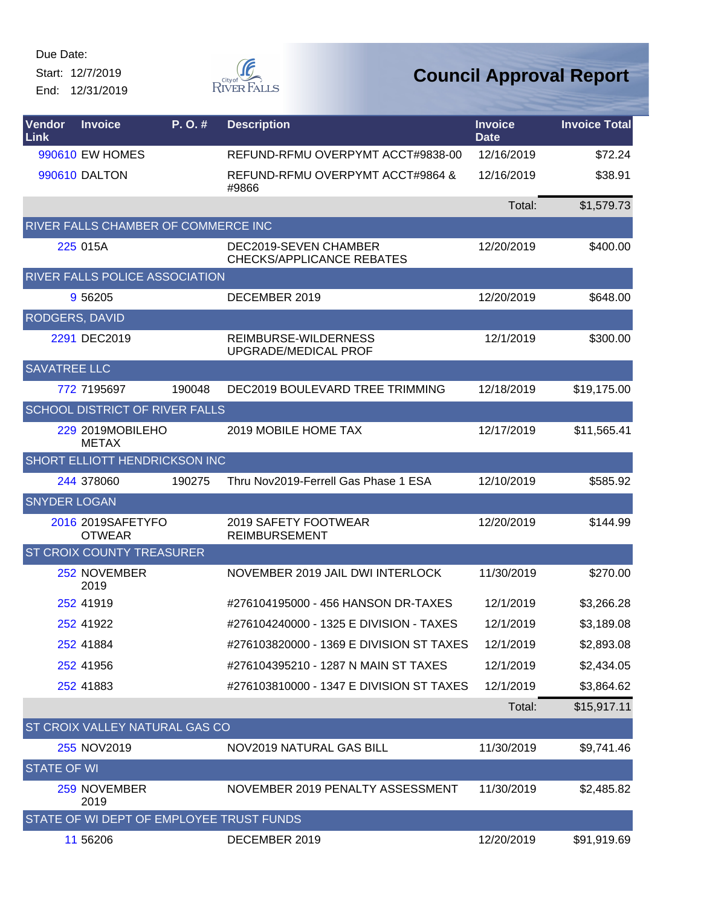Start: 12/7/2019 End: 12/31/2019



| Vendor<br>Link      | <b>Invoice</b>                        | P. O.# | <b>Description</b>                                        | <b>Invoice</b><br><b>Date</b> | <b>Invoice Total</b> |
|---------------------|---------------------------------------|--------|-----------------------------------------------------------|-------------------------------|----------------------|
|                     | 990610 EW HOMES                       |        | REFUND-RFMU OVERPYMT ACCT#9838-00                         | 12/16/2019                    | \$72.24              |
|                     | 990610 DALTON                         |        | REFUND-RFMU OVERPYMT ACCT#9864 &<br>#9866                 | 12/16/2019                    | \$38.91              |
|                     |                                       |        |                                                           | Total:                        | \$1,579.73           |
|                     | RIVER FALLS CHAMBER OF COMMERCE INC   |        |                                                           |                               |                      |
|                     | 225 015A                              |        | DEC2019-SEVEN CHAMBER<br><b>CHECKS/APPLICANCE REBATES</b> | 12/20/2019                    | \$400.00             |
|                     | RIVER FALLS POLICE ASSOCIATION        |        |                                                           |                               |                      |
|                     | 9 5 6 20 5                            |        | DECEMBER 2019                                             | 12/20/2019                    | \$648.00             |
| RODGERS, DAVID      |                                       |        |                                                           |                               |                      |
|                     | 2291 DEC2019                          |        | REIMBURSE-WILDERNESS<br>UPGRADE/MEDICAL PROF              | 12/1/2019                     | \$300.00             |
| <b>SAVATREE LLC</b> |                                       |        |                                                           |                               |                      |
|                     | 772 7195697                           | 190048 | DEC2019 BOULEVARD TREE TRIMMING                           | 12/18/2019                    | \$19,175.00          |
|                     | <b>SCHOOL DISTRICT OF RIVER FALLS</b> |        |                                                           |                               |                      |
|                     | 229 2019MOBILEHO<br><b>METAX</b>      |        | 2019 MOBILE HOME TAX                                      | 12/17/2019                    | \$11,565.41          |
|                     | SHORT ELLIOTT HENDRICKSON INC         |        |                                                           |                               |                      |
|                     | 244 378060                            | 190275 | Thru Nov2019-Ferrell Gas Phase 1 ESA                      | 12/10/2019                    | \$585.92             |
| <b>SNYDER LOGAN</b> |                                       |        |                                                           |                               |                      |
|                     | 2016 2019SAFETYFO<br><b>OTWEAR</b>    |        | 2019 SAFETY FOOTWEAR<br><b>REIMBURSEMENT</b>              | 12/20/2019                    | \$144.99             |
|                     | <b>ST CROIX COUNTY TREASURER</b>      |        |                                                           |                               |                      |
|                     | 252 NOVEMBER<br>2019                  |        | NOVEMBER 2019 JAIL DWI INTERLOCK                          | 11/30/2019                    | \$270.00             |
|                     | 252 41919                             |        | #276104195000 - 456 HANSON DR-TAXES                       | 12/1/2019                     | \$3,266.28           |
|                     | 252 41922                             |        | #276104240000 - 1325 E DIVISION - TAXES                   | 12/1/2019                     | \$3,189.08           |
|                     | 252 41884                             |        | #276103820000 - 1369 E DIVISION ST TAXES                  | 12/1/2019                     | \$2,893.08           |
|                     | 252 41956                             |        | #276104395210 - 1287 N MAIN ST TAXES                      | 12/1/2019                     | \$2,434.05           |
|                     | 252 41883                             |        | #276103810000 - 1347 E DIVISION ST TAXES                  | 12/1/2019                     | \$3,864.62           |
|                     |                                       |        |                                                           | Total:                        | \$15,917.11          |
|                     | ST CROIX VALLEY NATURAL GAS CO        |        |                                                           |                               |                      |
|                     | 255 NOV2019                           |        | NOV2019 NATURAL GAS BILL                                  | 11/30/2019                    | \$9,741.46           |
| <b>STATE OF WI</b>  |                                       |        |                                                           |                               |                      |
|                     | 259 NOVEMBER<br>2019                  |        | NOVEMBER 2019 PENALTY ASSESSMENT                          | 11/30/2019                    | \$2,485.82           |
|                     |                                       |        | STATE OF WI DEPT OF EMPLOYEE TRUST FUNDS                  |                               |                      |
|                     | 11 56206                              |        | DECEMBER 2019                                             | 12/20/2019                    | \$91,919.69          |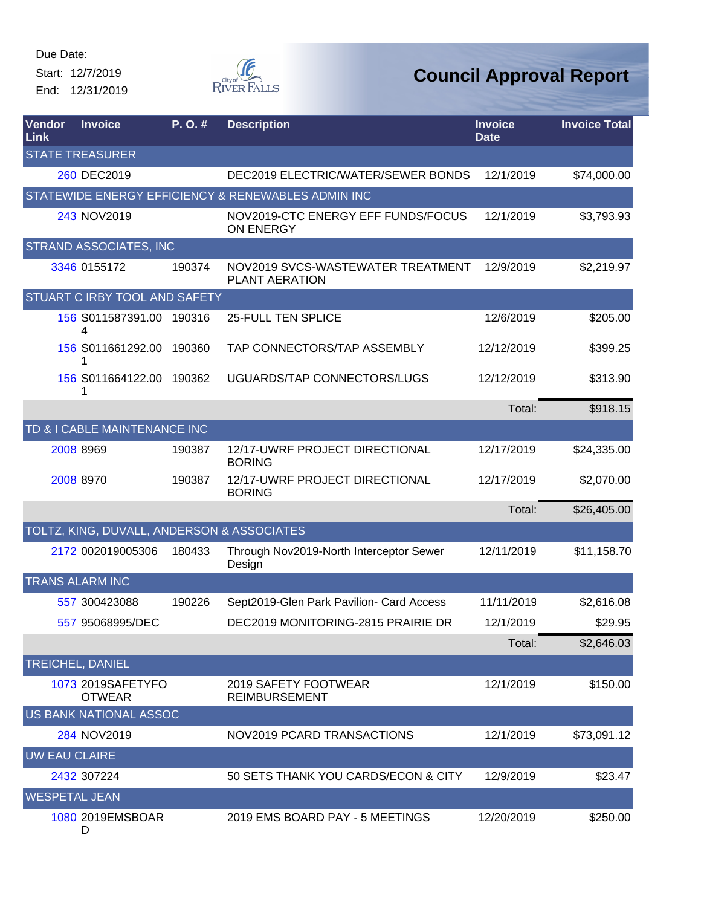Start: 12/7/2019 End: 12/31/2019



| Vendor<br>Link       | <b>Invoice</b>                             | P.O.#  | <b>Description</b>                                  | <b>Invoice</b><br><b>Date</b> | <b>Invoice Total</b> |
|----------------------|--------------------------------------------|--------|-----------------------------------------------------|-------------------------------|----------------------|
|                      | <b>STATE TREASURER</b>                     |        |                                                     |                               |                      |
|                      | 260 DEC2019                                |        | DEC2019 ELECTRIC/WATER/SEWER BONDS                  | 12/1/2019                     | \$74,000.00          |
|                      |                                            |        | STATEWIDE ENERGY EFFICIENCY & RENEWABLES ADMIN INC  |                               |                      |
|                      | 243 NOV2019                                |        | NOV2019-CTC ENERGY EFF FUNDS/FOCUS<br>ON ENERGY     | 12/1/2019                     | \$3,793.93           |
|                      | <b>STRAND ASSOCIATES, INC</b>              |        |                                                     |                               |                      |
|                      | 3346 0155172                               | 190374 | NOV2019 SVCS-WASTEWATER TREATMENT<br>PLANT AERATION | 12/9/2019                     | \$2,219.97           |
|                      | <b>STUART C IRBY TOOL AND SAFETY</b>       |        |                                                     |                               |                      |
|                      | 156 S011587391.00<br>4                     | 190316 | <b>25-FULL TEN SPLICE</b>                           | 12/6/2019                     | \$205.00             |
|                      | 156 S011661292.00<br>1                     | 190360 | TAP CONNECTORS/TAP ASSEMBLY                         | 12/12/2019                    | \$399.25             |
|                      | 156 S011664122.00<br>1                     | 190362 | UGUARDS/TAP CONNECTORS/LUGS                         | 12/12/2019                    | \$313.90             |
|                      |                                            |        |                                                     | Total:                        | \$918.15             |
|                      | TD & I CABLE MAINTENANCE INC               |        |                                                     |                               |                      |
|                      | 2008 8969                                  | 190387 | 12/17-UWRF PROJECT DIRECTIONAL<br><b>BORING</b>     | 12/17/2019                    | \$24,335.00          |
|                      | 2008 8970                                  | 190387 | 12/17-UWRF PROJECT DIRECTIONAL<br><b>BORING</b>     | 12/17/2019                    | \$2,070.00           |
|                      |                                            |        |                                                     | Total:                        | \$26,405.00          |
|                      | TOLTZ, KING, DUVALL, ANDERSON & ASSOCIATES |        |                                                     |                               |                      |
|                      | 2172 002019005306                          | 180433 | Through Nov2019-North Interceptor Sewer<br>Design   | 12/11/2019                    | \$11,158.70          |
|                      | <b>TRANS ALARM INC</b>                     |        |                                                     |                               |                      |
|                      | 557 300423088                              | 190226 | Sept2019-Glen Park Pavilion- Card Access            | 11/11/2019                    | \$2,616.08           |
|                      | 557 95068995/DEC                           |        | DEC2019 MONITORING-2815 PRAIRIE DR                  | 12/1/2019                     | \$29.95              |
|                      |                                            |        |                                                     | Total:                        | \$2,646.03           |
|                      | <b>TREICHEL, DANIEL</b>                    |        |                                                     |                               |                      |
|                      | 1073 2019SAFETYFO<br><b>OTWEAR</b>         |        | 2019 SAFETY FOOTWEAR<br><b>REIMBURSEMENT</b>        | 12/1/2019                     | \$150.00             |
|                      | <b>US BANK NATIONAL ASSOC</b>              |        |                                                     |                               |                      |
|                      | 284 NOV2019                                |        | NOV2019 PCARD TRANSACTIONS                          | 12/1/2019                     | \$73,091.12          |
| <b>UW EAU CLAIRE</b> |                                            |        |                                                     |                               |                      |
|                      | 2432 307224                                |        | 50 SETS THANK YOU CARDS/ECON & CITY                 | 12/9/2019                     | \$23.47              |
| <b>WESPETAL JEAN</b> |                                            |        |                                                     |                               |                      |
|                      | 1080 2019EMSBOAR                           |        | 2019 EMS BOARD PAY - 5 MEETINGS                     | 12/20/2019                    | \$250.00             |